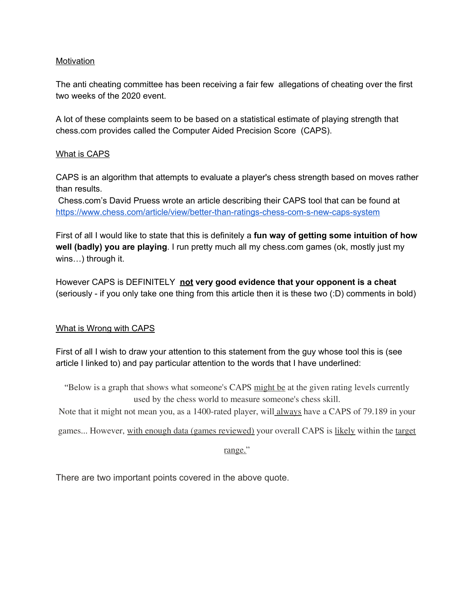## **Motivation**

The anti cheating committee has been receiving a fair few allegations of cheating over the first two weeks of the 2020 event.

A lot of these complaints seem to be based on a statistical estimate of playing strength that chess.com provides called the Computer Aided Precision Score (CAPS).

## What is CAPS

CAPS is an algorithm that attempts to evaluate a player's chess strength based on moves rather than results.

Chess.com's David Pruess wrote an article describing their CAPS tool that can be found at <https://www.chess.com/article/view/better-than-ratings-chess-com-s-new-caps-system>

First of all I would like to state that this is definitely a **fun way of getting some intuition of how well (badly) you are playing**. I run pretty much all my chess.com games (ok, mostly just my wins…) through it.

However CAPS is DEFINITELY **not very good evidence that your opponent is a cheat** (seriously - if you only take one thing from this article then it is these two (:D) comments in bold)

## What is Wrong with CAPS

First of all I wish to draw your attention to this statement from the guy whose tool this is (see article I linked to) and pay particular attention to the words that I have underlined:

"Below is a graph that shows what someone's CAPS might be at the given rating levels currently used by the chess world to measure someone's chess skill.

Note that it might not mean you, as a 1400-rated player, will always have a CAPS of 79.189 in your

games... However, with enough data (games reviewed) your overall CAPS is likely within the target

range."

There are two important points covered in the above quote.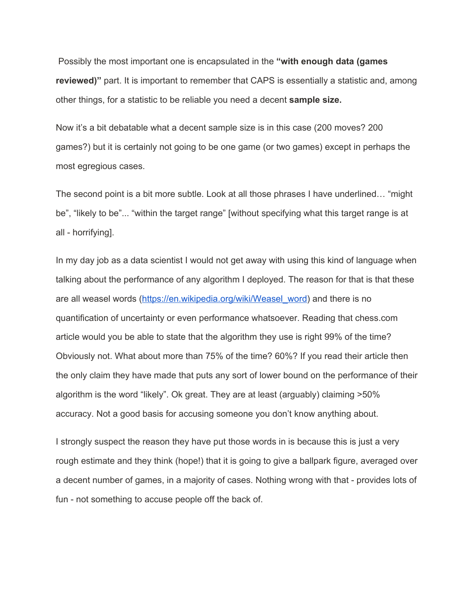Possibly the most important one is encapsulated in the **"with enough data (games reviewed)"** part. It is important to remember that CAPS is essentially a statistic and, among other things, for a statistic to be reliable you need a decent **sample size.**

Now it's a bit debatable what a decent sample size is in this case (200 moves? 200 games?) but it is certainly not going to be one game (or two games) except in perhaps the most egregious cases.

The second point is a bit more subtle. Look at all those phrases I have underlined… "might be", "likely to be"... "within the target range" [without specifying what this target range is at all - horrifying].

In my day job as a data scientist I would not get away with using this kind of language when talking about the performance of any algorithm I deployed. The reason for that is that these are all weasel words [\(https://en.wikipedia.org/wiki/Weasel\\_word\)](https://en.wikipedia.org/wiki/Weasel_word) and there is no quantification of uncertainty or even performance whatsoever. Reading that chess.com article would you be able to state that the algorithm they use is right 99% of the time? Obviously not. What about more than 75% of the time? 60%? If you read their article then the only claim they have made that puts any sort of lower bound on the performance of their algorithm is the word "likely". Ok great. They are at least (arguably) claiming >50% accuracy. Not a good basis for accusing someone you don't know anything about.

I strongly suspect the reason they have put those words in is because this is just a very rough estimate and they think (hope!) that it is going to give a ballpark figure, averaged over a decent number of games, in a majority of cases. Nothing wrong with that - provides lots of fun - not something to accuse people off the back of.